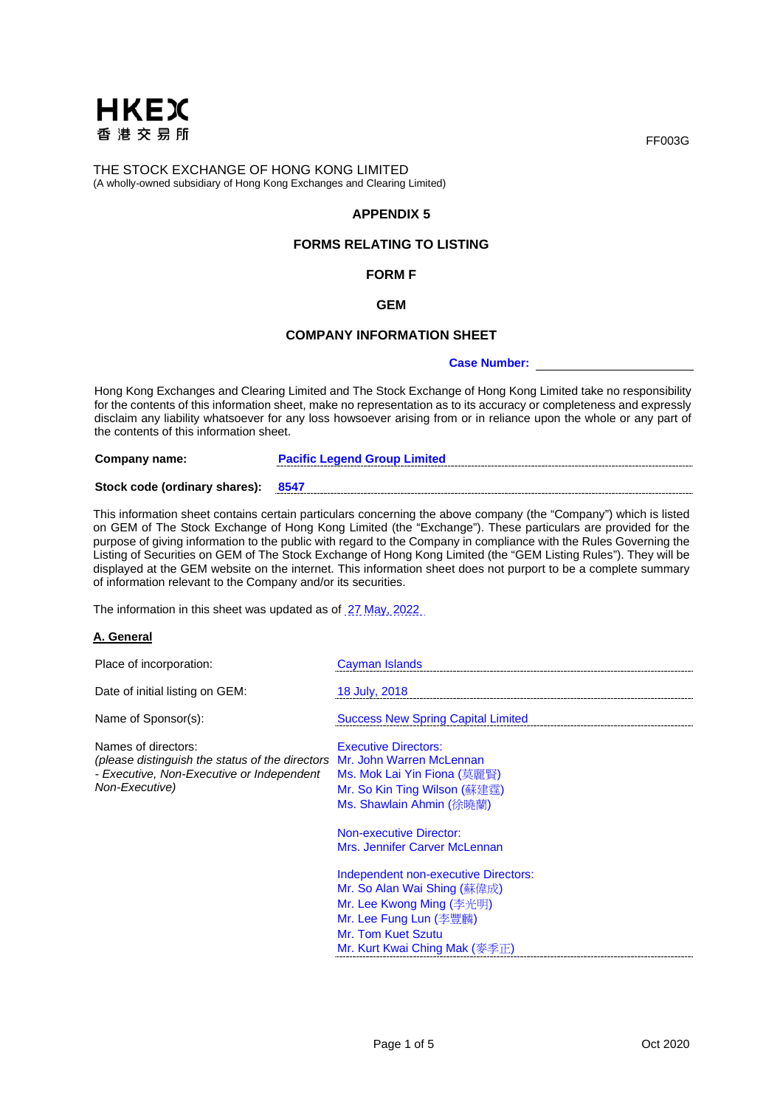

THE STOCK EXCHANGE OF HONG KONG LIMITED (A wholly-owned subsidiary of Hong Kong Exchanges and Clearing Limited)

## **APPENDIX 5**

## **FORMS RELATING TO LISTING**

# **FORM F**

## **GEM**

#### **COMPANY INFORMATION SHEET**

#### **Case Number:**

Hong Kong Exchanges and Clearing Limited and The Stock Exchange of Hong Kong Limited take no responsibility for the contents of this information sheet, make no representation as to its accuracy or completeness and expressly disclaim any liability whatsoever for any loss howsoever arising from or in reliance upon the whole or any part of the contents of this information sheet.

**Company name: Pacific Legend Group Limited**

#### **Stock code (ordinary shares): 8547**

This information sheet contains certain particulars concerning the above company (the "Company") which is listed on GEM of The Stock Exchange of Hong Kong Limited (the "Exchange"). These particulars are provided for the purpose of giving information to the public with regard to the Company in compliance with the Rules Governing the Listing of Securities on GEM of The Stock Exchange of Hong Kong Limited (the "GEM Listing Rules"). They will be displayed at the GEM website on the internet. This information sheet does not purport to be a complete summary of information relevant to the Company and/or its securities.

The information in this sheet was updated as of 27 May, 2022

#### **A. General**

| Place of incorporation:                                                                                                                                        | Cayman Islands                                                                                                                                                                            |
|----------------------------------------------------------------------------------------------------------------------------------------------------------------|-------------------------------------------------------------------------------------------------------------------------------------------------------------------------------------------|
| Date of initial listing on GEM:                                                                                                                                | 18 July, 2018                                                                                                                                                                             |
| Name of Sponsor(s):                                                                                                                                            | <b>Success New Spring Capital Limited</b>                                                                                                                                                 |
| Names of directors:<br>(please distinguish the status of the directors Mr. John Warren McLennan<br>- Executive, Non-Executive or Independent<br>Non-Executive) | <b>Executive Directors:</b><br>Ms. Mok Lai Yin Fiona (莫麗賢)<br>Mr. So Kin Ting Wilson (蘇建霆)<br>Ms. Shawlain Ahmin (徐曉蘭)<br><b>Non-executive Director:</b><br>Mrs. Jennifer Carver McLennan |
|                                                                                                                                                                | Independent non-executive Directors:<br>Mr. So Alan Wai Shing (蘇偉成)<br>Mr. Lee Kwong Ming (李光明)<br>Mr. Lee Fung Lun (李豐麟)<br>Mr. Tom Kuet Szutu<br>Mr. Kurt Kwai Ching Mak (麥季正)          |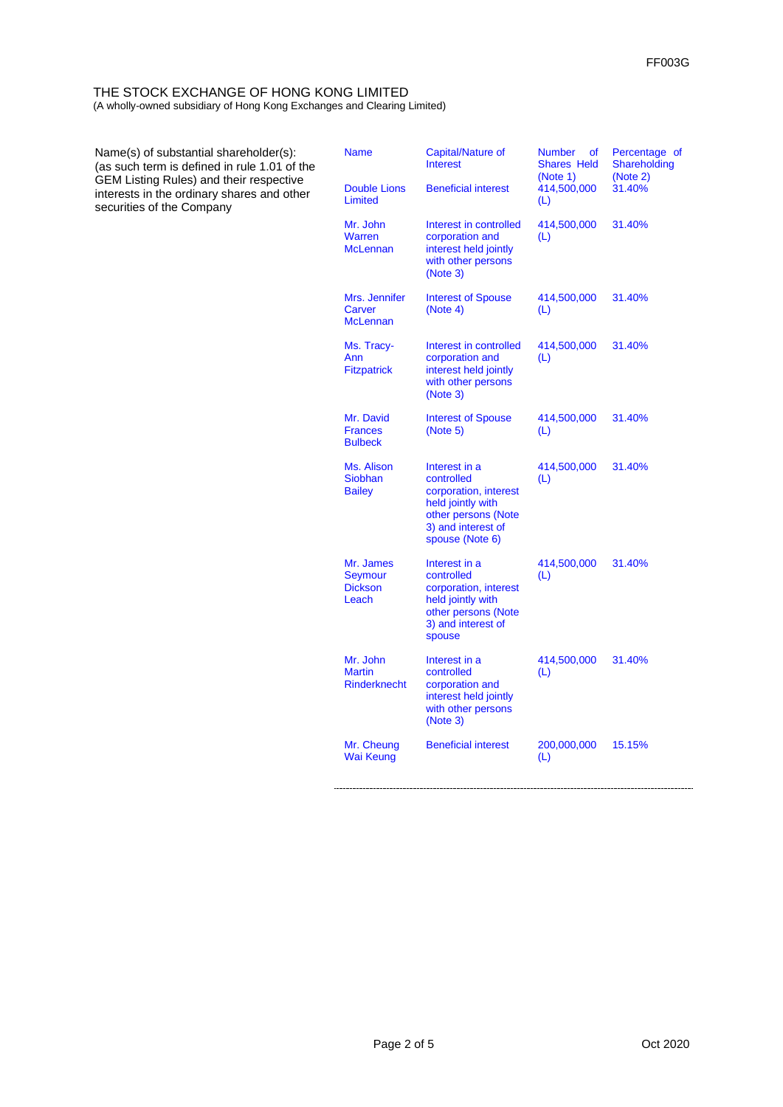# THE STOCK EXCHANGE OF HONG KONG LIMITED

(A wholly-owned subsidiary of Hong Kong Exchanges and Clearing Limited)

| Name(s) of substantial shareholder(s):<br>(as such term is defined in rule 1.01 of the                                    | <b>Name</b>                                      | Capital/Nature of<br><b>Interest</b>                                                                                                      | <b>Number</b><br>of<br><b>Shares Held</b><br>(Note 1) | Percentage of<br>Shareholding<br>(Note 2) |
|---------------------------------------------------------------------------------------------------------------------------|--------------------------------------------------|-------------------------------------------------------------------------------------------------------------------------------------------|-------------------------------------------------------|-------------------------------------------|
| <b>GEM Listing Rules) and their respective</b><br>interests in the ordinary shares and other<br>securities of the Company | <b>Double Lions</b><br>Limited                   | <b>Beneficial interest</b>                                                                                                                | 414,500,000<br>(L)                                    | 31.40%                                    |
|                                                                                                                           | Mr. John<br>Warren<br><b>McLennan</b>            | Interest in controlled<br>corporation and<br>interest held jointly<br>with other persons<br>(Note 3)                                      | 414,500,000<br>(L)                                    | 31.40%                                    |
|                                                                                                                           | Mrs. Jennifer<br>Carver<br><b>McLennan</b>       | <b>Interest of Spouse</b><br>(Note 4)                                                                                                     | 414,500,000<br>(L)                                    | 31.40%                                    |
|                                                                                                                           | Ms. Tracy-<br>Ann<br><b>Fitzpatrick</b>          | Interest in controlled<br>corporation and<br>interest held jointly<br>with other persons<br>(Note 3)                                      | 414,500,000<br>(L)                                    | 31.40%                                    |
|                                                                                                                           | Mr. David<br><b>Frances</b><br><b>Bulbeck</b>    | <b>Interest of Spouse</b><br>(Note 5)                                                                                                     | 414,500,000<br>(L)                                    | 31.40%                                    |
|                                                                                                                           | Ms. Alison<br>Siobhan<br><b>Bailey</b>           | Interest in a<br>controlled<br>corporation, interest<br>held jointly with<br>other persons (Note<br>3) and interest of<br>spouse (Note 6) | 414,500,000<br>(L)                                    | 31.40%                                    |
|                                                                                                                           | Mr. James<br>Seymour<br><b>Dickson</b><br>Leach  | Interest in a<br>controlled<br>corporation, interest<br>held jointly with<br>other persons (Note<br>3) and interest of<br>spouse          | 414,500,000<br>(L)                                    | 31.40%                                    |
|                                                                                                                           | Mr. John<br><b>Martin</b><br><b>Rinderknecht</b> | Interest in a<br>controlled<br>corporation and<br>interest held jointly<br>with other persons<br>(Note 3)                                 | 414,500,000<br>(L)                                    | 31.40%                                    |
|                                                                                                                           | Mr. Cheung<br>Wai Keung                          | <b>Beneficial interest</b>                                                                                                                | 200,000,000<br>(L)                                    | 15.15%                                    |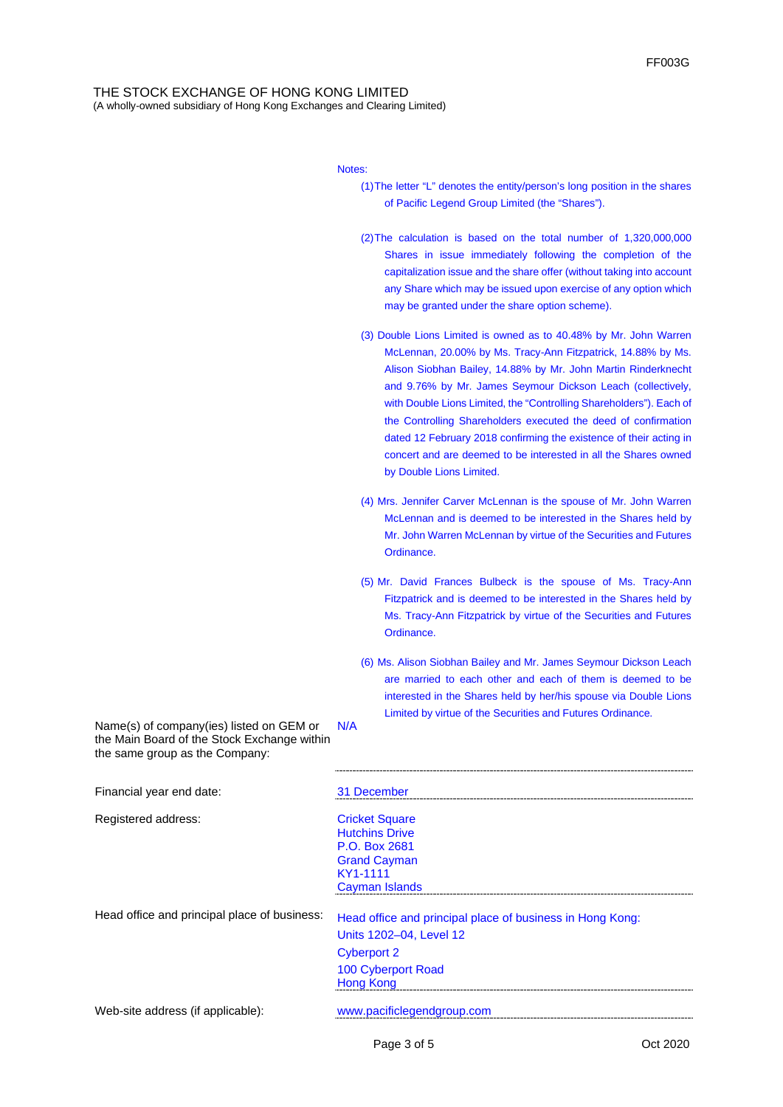#### THE STOCK EXCHANGE OF HONG KONG LIMITED (A wholly-owned subsidiary of Hong Kong Exchanges and Clearing Limited)

Notes:

- (1)The letter "L" denotes the entity/person's long position in the shares of Pacific Legend Group Limited (the "Shares").
- (2)The calculation is based on the total number of 1,320,000,000 Shares in issue immediately following the completion of the capitalization issue and the share offer (without taking into account any Share which may be issued upon exercise of any option which may be granted under the share option scheme).
- (3) Double Lions Limited is owned as to 40.48% by Mr. John Warren McLennan, 20.00% by Ms. Tracy-Ann Fitzpatrick, 14.88% by Ms. Alison Siobhan Bailey, 14.88% by Mr. John Martin Rinderknecht and 9.76% by Mr. James Seymour Dickson Leach (collectively, with Double Lions Limited, the "Controlling Shareholders"). Each of the Controlling Shareholders executed the deed of confirmation dated 12 February 2018 confirming the existence of their acting in concert and are deemed to be interested in all the Shares owned by Double Lions Limited.
- (4) Mrs. Jennifer Carver McLennan is the spouse of Mr. John Warren McLennan and is deemed to be interested in the Shares held by Mr. John Warren McLennan by virtue of the Securities and Futures Ordinance.
- (5) Mr. David Frances Bulbeck is the spouse of Ms. Tracy-Ann Fitzpatrick and is deemed to be interested in the Shares held by Ms. Tracy-Ann Fitzpatrick by virtue of the Securities and Futures Ordinance.
- (6) Ms. Alison Siobhan Bailey and Mr. James Seymour Dickson Leach are married to each other and each of them is deemed to be interested in the Shares held by her/his spouse via Double Lions Limited by virtue of the Securities and Futures Ordinance.

Name(s) of company(ies) listed on GEM or the Main Board of the Stock Exchange within the same group as the Company: N/A

| Financial year end date:                     | 31 December                                                                                                                                          |
|----------------------------------------------|------------------------------------------------------------------------------------------------------------------------------------------------------|
| Registered address:                          | <b>Cricket Square</b><br><b>Hutchins Drive</b><br>P.O. Box 2681<br><b>Grand Cayman</b><br>KY1-1111<br>Cayman Islands                                 |
| Head office and principal place of business: | Head office and principal place of business in Hong Kong:<br>Units 1202-04, Level 12<br><b>Cyberport 2</b><br>100 Cyberport Road<br><b>Hong Kong</b> |
| Web-site address (if applicable):            | www.pacificlegendgroup.com                                                                                                                           |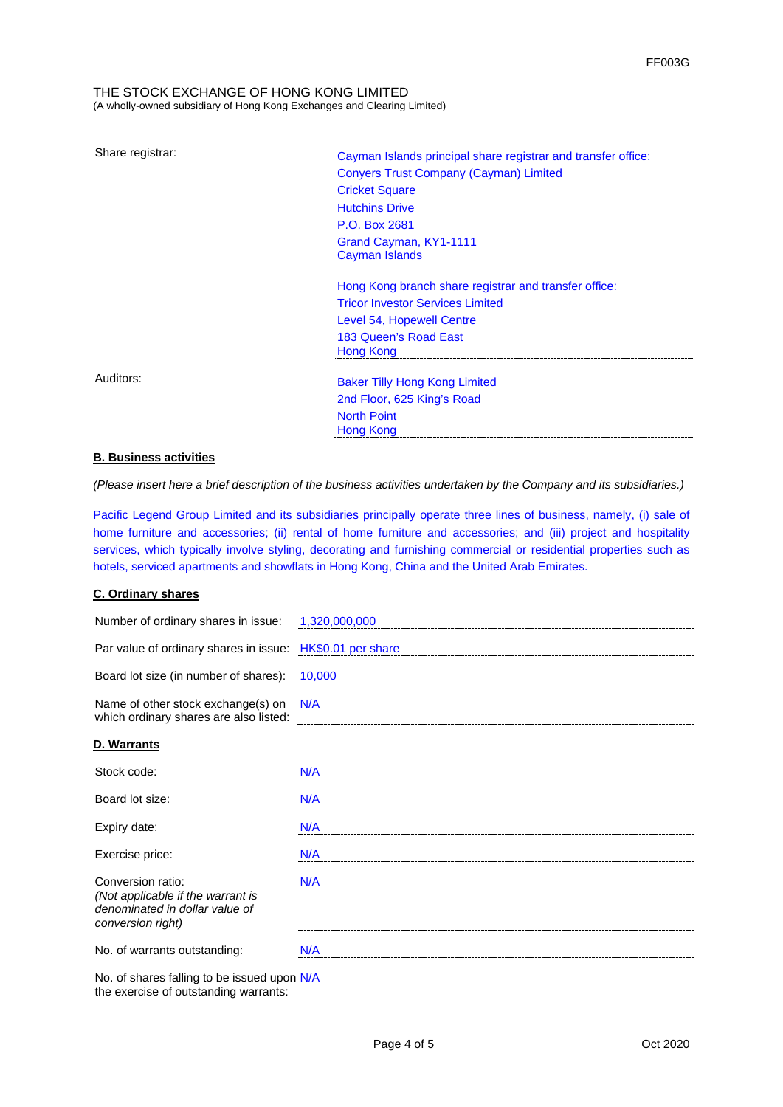#### THE STOCK EXCHANGE OF HONG KONG LIMITED (A wholly-owned subsidiary of Hong Kong Exchanges and Clearing Limited)

Share registrar: Cayman Islands principal share registrar and transfer office: Conyers Trust Company (Cayman) Limited Cricket Square Hutchins Drive P.O. Box 2681 Grand Cayman, KY1-1111 Cayman Islands Hong Kong branch share registrar and transfer office:

Tricor Investor Services Limited Level 54, Hopewell Centre 183 Queen's Road East Hong Kong

Auditors: **Baker Tilly Hong Kong Limited** 2nd Floor, 625 King's Road North Point Hong Kong

#### **B. Business activities**

*(Please insert here a brief description of the business activities undertaken by the Company and its subsidiaries.)*

Pacific Legend Group Limited and its subsidiaries principally operate three lines of business, namely, (i) sale of home furniture and accessories; (ii) rental of home furniture and accessories; and (iii) project and hospitality services, which typically involve styling, decorating and furnishing commercial or residential properties such as hotels, serviced apartments and showflats in Hong Kong, China and the United Arab Emirates.

#### **C. Ordinary shares**

| Number of ordinary shares in issue:                                                                           | 1,320,000,000      |
|---------------------------------------------------------------------------------------------------------------|--------------------|
| Par value of ordinary shares in issue:                                                                        | HK\$0.01 per share |
| Board lot size (in number of shares):                                                                         | 10,000             |
| Name of other stock exchange(s) on<br>which ordinary shares are also listed:                                  | N/A                |
| D. Warrants                                                                                                   |                    |
| Stock code:                                                                                                   | N/A                |
| Board lot size:                                                                                               | N/A                |
| Expiry date:                                                                                                  | N/A                |
| Exercise price:                                                                                               | N/A                |
| Conversion ratio:<br>(Not applicable if the warrant is<br>denominated in dollar value of<br>conversion right) | N/A                |
| No. of warrants outstanding:                                                                                  | N/A                |
| No. of shares falling to be issued upon N/A<br>the exercise of outstanding warrants:                          |                    |